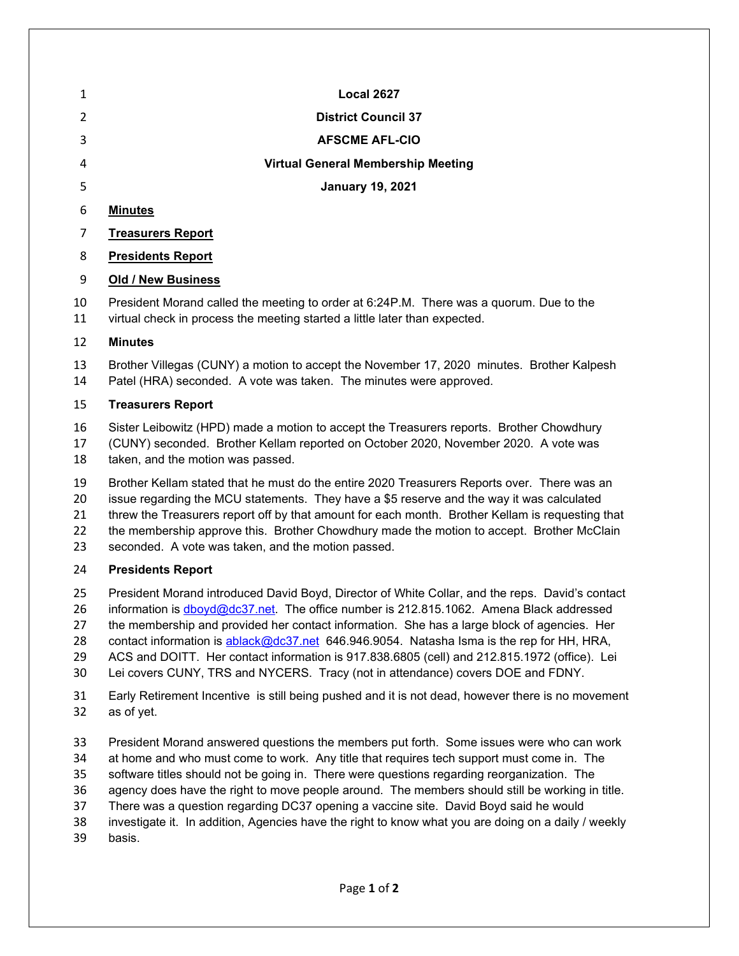| 1        | <b>Local 2627</b>                                                                                                                                                     |
|----------|-----------------------------------------------------------------------------------------------------------------------------------------------------------------------|
| 2        | <b>District Council 37</b>                                                                                                                                            |
| 3        | <b>AFSCME AFL-CIO</b>                                                                                                                                                 |
| 4        | <b>Virtual General Membership Meeting</b>                                                                                                                             |
| 5        | <b>January 19, 2021</b>                                                                                                                                               |
| 6        | <b>Minutes</b>                                                                                                                                                        |
| 7        | <b>Treasurers Report</b>                                                                                                                                              |
| 8        | <b>Presidents Report</b>                                                                                                                                              |
| 9        | <b>Old / New Business</b>                                                                                                                                             |
| 10<br>11 | President Morand called the meeting to order at 6:24P.M. There was a quorum. Due to the<br>virtual check in process the meeting started a little later than expected. |
| 12       | <b>Minutes</b>                                                                                                                                                        |
| 13<br>14 | Brother Villegas (CUNY) a motion to accept the November 17, 2020 minutes. Brother Kalpesh<br>Patel (HRA) seconded. A vote was taken. The minutes were approved.       |
| 15       | <b>Treasurers Report</b>                                                                                                                                              |
| $\sim$   | Cister Leiberritz (UDD) mede e metien te essent the Treesrusse renarte. Drether Charrillering                                                                         |

 Sister Leibowitz (HPD) made a motion to accept the Treasurers reports. Brother Chowdhury (CUNY) seconded. Brother Kellam reported on October 2020, November 2020. A vote was 18 taken, and the motion was passed.

Brother Kellam stated that he must do the entire 2020 Treasurers Reports over. There was an

 issue regarding the MCU statements. They have a \$5 reserve and the way it was calculated 21 threw the Treasurers report off by that amount for each month. Brother Kellam is requesting that

22 the membership approve this. Brother Chowdhury made the motion to accept. Brother McClain

seconded. A vote was taken, and the motion passed.

## **Presidents Report**

 President Morand introduced David Boyd, Director of White Collar, and the reps. David's contact information is [dboyd@dc37.net.](mailto:dboyd@dc37.net) The office number is 212.815.1062. Amena Black addressed

the membership and provided her contact information. She has a large block of agencies. Her

28 contact information is [ablack@dc37.net](mailto:ablack@dc37.net) 646.946.9054. Natasha Isma is the rep for HH, HRA,

ACS and DOITT. Her contact information is 917.838.6805 (cell) and 212.815.1972 (office). Lei

Lei covers CUNY, TRS and NYCERS. Tracy (not in attendance) covers DOE and FDNY.

 Early Retirement Incentive is still being pushed and it is not dead, however there is no movement as of yet.

President Morand answered questions the members put forth. Some issues were who can work

at home and who must come to work. Any title that requires tech support must come in. The

software titles should not be going in. There were questions regarding reorganization. The

agency does have the right to move people around. The members should still be working in title.

There was a question regarding DC37 opening a vaccine site. David Boyd said he would

investigate it. In addition, Agencies have the right to know what you are doing on a daily / weekly

basis.